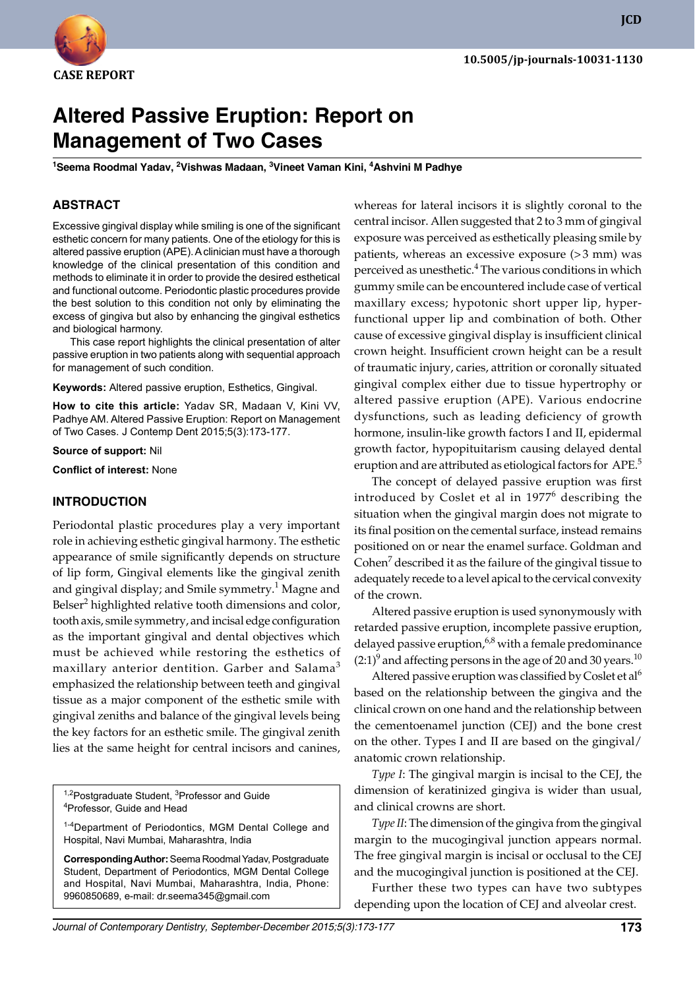

**JCD**

# **Altered Passive Eruption: Report on Management of Two Cases**

**1 Seema Roodmal Yadav, 2 Vishwas Madaan, 3 Vineet Vaman Kini, 4 Ashvini M Padhye**

### **ABSTRACT**

Excessive gingival display while smiling is one of the significant esthetic concern for many patients. One of the etiology for this is altered passive eruption (APE). A clinician must have a thorough knowledge of the clinical presentation of this condition and methods to eliminate it in order to provide the desired esthetical and functional outcome. Periodontic plastic procedures provide the best solution to this condition not only by eliminating the excess of gingiva but also by enhancing the gingival esthetics and biological harmony.

This case report highlights the clinical presentation of alter passive eruption in two patients along with sequential approach for management of such condition.

**Keywords:** Altered passive eruption, Esthetics, Gingival.

**How to cite this article:** Yadav SR, Madaan V, Kini VV, Padhye AM. Altered Passive Eruption: Report on Management of Two Cases. J Contemp Dent 2015;5(3):173-177.

**Source of support:** Nil

**Conflict of interest:** None

### **Introduction**

Periodontal plastic procedures play a very important role in achieving esthetic gingival harmony. The esthetic appearance of smile significantly depends on structure of lip form, Gingival elements like the gingival zenith and gingival display; and Smile symmetry. $^1$  Magne and Belser<sup>2</sup> highlighted relative tooth dimensions and color, tooth axis, smile symmetry, and incisal edge configuration as the important gingival and dental objectives which must be achieved while restoring the esthetics of maxillary anterior dentition. Garber and Salama<sup>3</sup> emphasized the relationship between teeth and gingival tissue as a major component of the esthetic smile with gingival zeniths and balance of the gingival levels being the key factors for an esthetic smile. The gingival zenith lies at the same height for central incisors and canines,

<sup>1,2</sup>Postgraduate Student, <sup>3</sup>Professor and Guide<br><sup>4</sup>Professor, Guide and Head <sup>4</sup>Professor, Guide and Head

<sup>1-4</sup>Department of Periodontics, MGM Dental College and Hospital, Navi Mumbai, Maharashtra, India

**Corresponding Author:** Seema Roodmal Yadav, Postgraduate Student, Department of Periodontics, MGM Dental College and Hospital, Navi Mumbai, Maharashtra, India, Phone: 9960850689, e-mail: dr.seema345@gmail.com

whereas for lateral incisors it is slightly coronal to the central incisor. Allen suggested that 2 to 3 mm of gingival exposure was perceived as esthetically pleasing smile by patients, whereas an excessive exposure (>3 mm) was perceived as unesthetic.<sup>4</sup> The various conditions in which gummy smile can be encountered include case of vertical maxillary excess; hypotonic short upper lip, hyperfunctional upper lip and combination of both. Other cause of excessive gingival display is insufficient clinical crown height. Insufficient crown height can be a result of traumatic injury, caries, attrition or coronally situated gingival complex either due to tissue hypertrophy or altered passive eruption (APE). Various endocrine dysfunctions, such as leading deficiency of growth hormone, insulin-like growth factors I and II, epidermal growth factor, hypopituitarism causing delayed dental eruption and are attributed as etiological factors for APE.<sup>5</sup>

The concept of delayed passive eruption was first introduced by Coslet et al in 1977<sup>6</sup> describing the situation when the gingival margin does not migrate to its final position on the cemental surface, instead remains positioned on or near the enamel surface. Goldman and Cohen<sup>7</sup> described it as the failure of the gingival tissue to adequately recede to a level apical to the cervical convexity of the crown.

Altered passive eruption is used synonymously with retarded passive eruption, incomplete passive eruption, delayed passive eruption,  $6.8$  with a female predominance  $(2:1)^9$  and affecting persons in the age of 20 and 30 years.<sup>10</sup>

Altered passive eruption was classified by Coslet et al<sup>6</sup> based on the relationship between the gingiva and the clinical crown on one hand and the relationship between the cementoenamel junction (CEJ) and the bone crest on the other. Types I and II are based on the gingival/ anatomic crown relationship.

*Type I*: The gingival margin is incisal to the CEJ, the dimension of keratinized gingiva is wider than usual, and clinical crowns are short.

*Type II*: The dimension of the gingiva from the gingival margin to the mucogingival junction appears normal. The free gingival margin is incisal or occlusal to the CEJ and the mucogingival junction is positioned at the CEJ.

Further these two types can have two subtypes depending upon the location of CEJ and alveolar crest.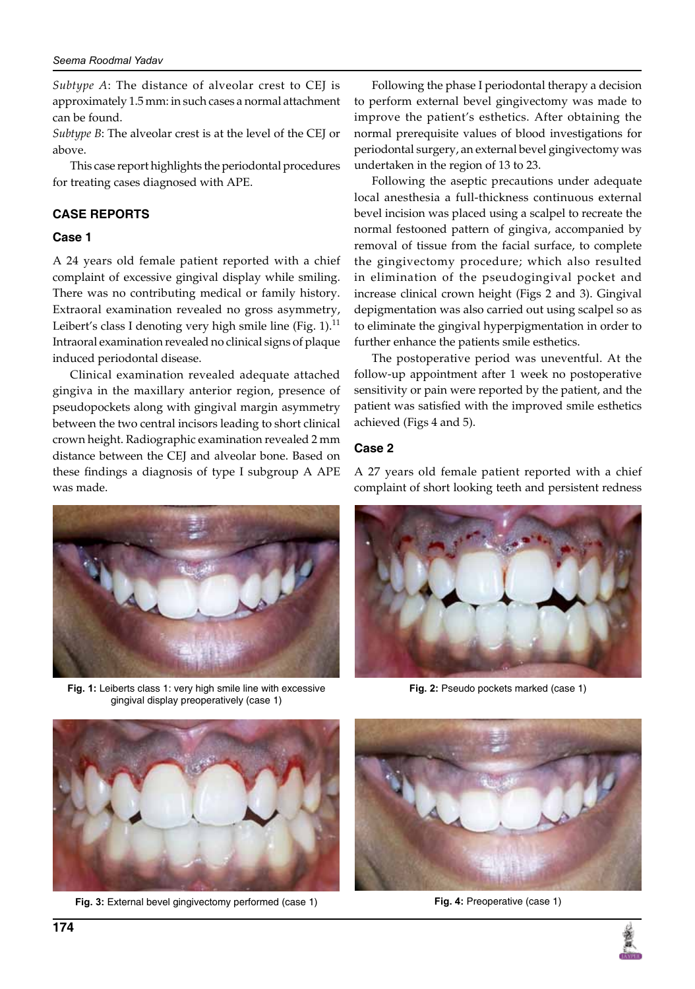*Subtype A*: The distance of alveolar crest to CEJ is approximately 1.5 mm: in such cases a normal attachment can be found.

*Subtype B*: The alveolar crest is at the level of the CEJ or above.

This case report highlights the periodontal procedures for treating cases diagnosed with APE.

## **Case reports**

### **Case 1**

A 24 years old female patient reported with a chief complaint of excessive gingival display while smiling. There was no contributing medical or family history. Extraoral examination revealed no gross asymmetry, Leibert's class I denoting very high smile line (Fig. 1). $<sup>11</sup>$ </sup> Intraoral examination revealed no clinical signs of plaque induced periodontal disease.

Clinical examination revealed adequate attached gingiva in the maxillary anterior region, presence of pseudopockets along with gingival margin asymmetry between the two central incisors leading to short clinical crown height. Radiographic examination revealed 2 mm distance between the CEJ and alveolar bone. Based on these findings a diagnosis of type I subgroup A APE was made.



**Fig. 1:** Leiberts class 1: very high smile line with excessive gingival display preoperatively (case 1)

Following the phase I periodontal therapy a decision to perform external bevel gingivectomy was made to improve the patient's esthetics. After obtaining the normal prerequisite values of blood investigations for periodontal surgery, an external bevel gingivectomy was undertaken in the region of 13 to 23.

Following the aseptic precautions under adequate local anesthesia a full-thickness continuous external bevel incision was placed using a scalpel to recreate the normal festooned pattern of gingiva, accompanied by removal of tissue from the facial surface, to complete the gingivectomy procedure; which also resulted in elimination of the pseudogingival pocket and increase clinical crown height (Figs 2 and 3). Gingival depigmentation was also carried out using scalpel so as to eliminate the gingival hyperpigmentation in order to further enhance the patients smile esthetics.

The postoperative period was uneventful. At the follow-up appointment after 1 week no postoperative sensitivity or pain were reported by the patient, and the patient was satisfied with the improved smile esthetics achieved (Figs 4 and 5).

### **Case 2**

A 27 years old female patient reported with a chief complaint of short looking teeth and persistent redness



**Fig. 2:** Pseudo pockets marked (case 1)



**Fig. 3:** External bevel gingivectomy performed (case 1) **Fig. 4:** Preoperative (case 1)



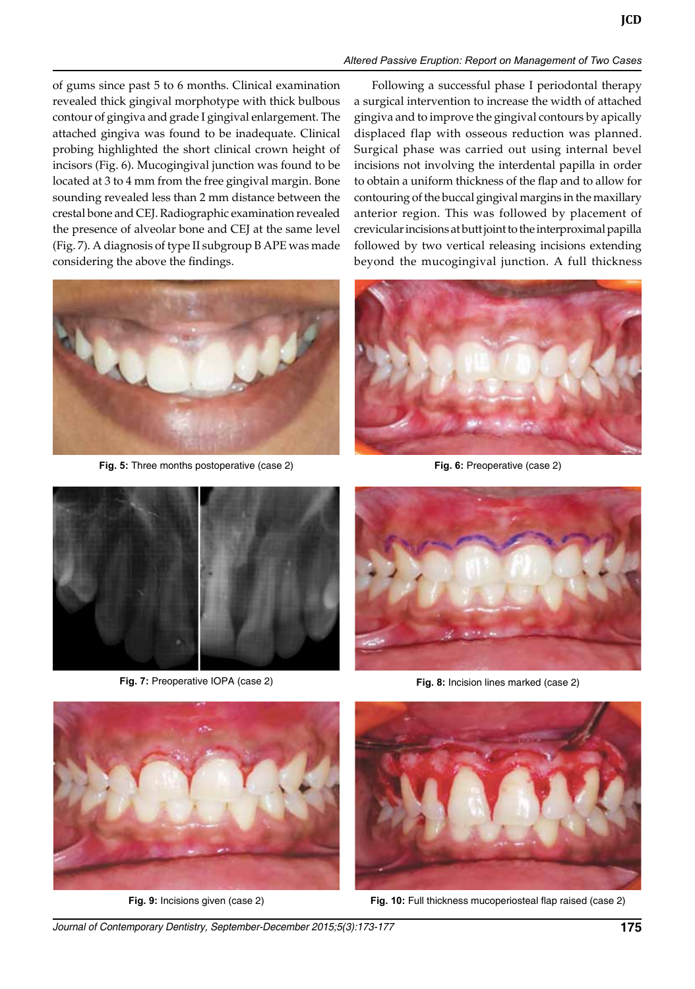### *Altered Passive Eruption: Report on Management of Two Cases*

of gums since past 5 to 6 months. Clinical examination revealed thick gingival morphotype with thick bulbous contour of gingiva and grade I gingival enlargement. The attached gingiva was found to be inadequate. Clinical probing highlighted the short clinical crown height of incisors (Fig. 6). Mucogingival junction was found to be located at 3 to 4 mm from the free gingival margin. Bone sounding revealed less than 2 mm distance between the crestal bone and CEJ. Radiographic examination revealed the presence of alveolar bone and CEJ at the same level (Fig. 7). A diagnosis of type II subgroup B APE was made considering the above the findings.



**Fig. 5:** Three months postoperative (case 2) **Fig. 6:** Preoperative (case 2)

Following a successful phase I periodontal therapy a surgical intervention to increase the width of attached gingiva and to improve the gingival contours by apically displaced flap with osseous reduction was planned. Surgical phase was carried out using internal bevel incisions not involving the interdental papilla in order to obtain a uniform thickness of the flap and to allow for contouring of the buccal gingival margins in the maxillary anterior region. This was followed by placement of crevicular incisions at butt joint to the interproximal papilla followed by two vertical releasing incisions extending beyond the mucogingival junction. A full thickness





**Fig. 7:** Preoperative IOPA (case 2) **Fig. 8:** Incision lines marked (case 2)







**Fig. 9:** Incisions given (case 2) **Fig. 10:** Full thickness mucoperiosteal flap raised (case 2)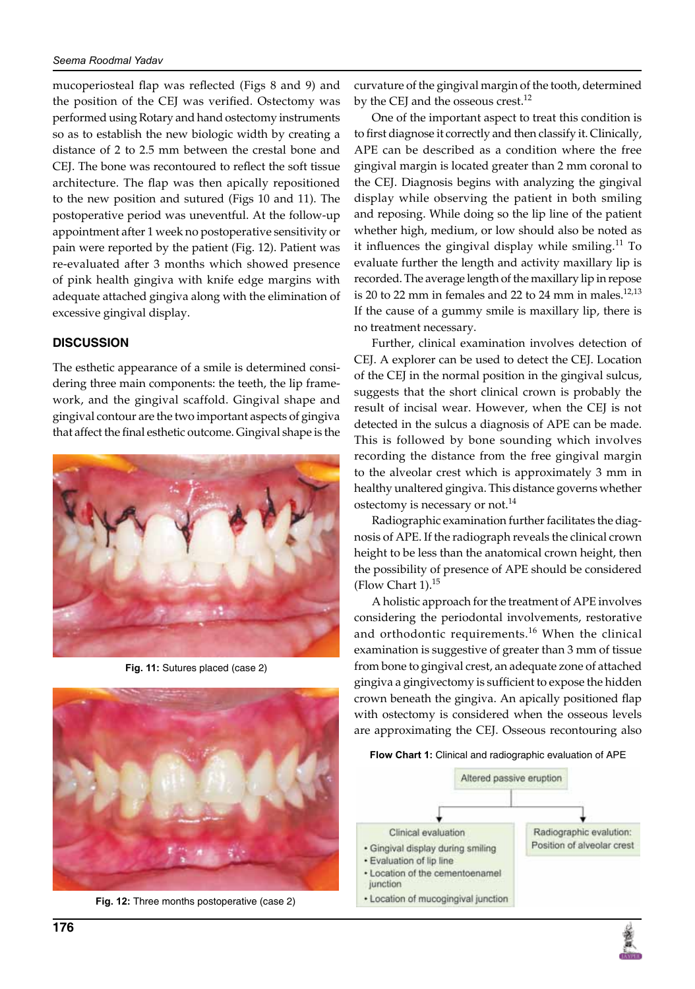mucoperiosteal flap was reflected (Figs 8 and 9) and the position of the CEJ was verified. Ostectomy was performed using Rotary and hand ostectomy instruments so as to establish the new biologic width by creating a distance of 2 to 2.5 mm between the crestal bone and CEJ. The bone was recontoured to reflect the soft tissue architecture. The flap was then apically repositioned to the new position and sutured (Figs 10 and 11). The postoperative period was uneventful. At the follow-up appointment after 1 week no postoperative sensitivity or pain were reported by the patient (Fig. 12). Patient was re-evaluated after 3 months which showed presence of pink health gingiva with knife edge margins with adequate attached gingiva along with the elimination of excessive gingival display.

### **Discussion**

The esthetic appearance of a smile is determined considering three main components: the teeth, the lip framework, and the gingival scaffold. Gingival shape and gingival contour are the two important aspects of gingiva that affect the final esthetic outcome. Gingival shape is the



**Fig. 11:** Sutures placed (case 2)



**Fig. 12:** Three months postoperative (case 2)

curvature of the gingival margin of the tooth, determined by the CEJ and the osseous crest. $^{12}$ 

One of the important aspect to treat this condition is to first diagnose it correctly and then classify it. Clinically, APE can be described as a condition where the free gingival margin is located greater than 2 mm coronal to the CEJ. Diagnosis begins with analyzing the gingival display while observing the patient in both smiling and reposing. While doing so the lip line of the patient whether high, medium, or low should also be noted as it influences the gingival display while smiling. $^{11}$  To evaluate further the length and activity maxillary lip is recorded. The average length of the maxillary lip in repose is 20 to 22 mm in females and 22 to 24 mm in males. $12,13$ If the cause of a gummy smile is maxillary lip, there is no treatment necessary.

Further, clinical examination involves detection of CEJ. A explorer can be used to detect the CEJ. Location of the CEJ in the normal position in the gingival sulcus, suggests that the short clinical crown is probably the result of incisal wear. However, when the CEJ is not detected in the sulcus a diagnosis of APE can be made. This is followed by bone sounding which involves recording the distance from the free gingival margin to the alveolar crest which is approximately 3 mm in healthy unaltered gingiva. This distance governs whether ostectomy is necessary or not.<sup>14</sup>

Radiographic examination further facilitates the diagnosis of APE. If the radiograph reveals the clinical crown height to be less than the anatomical crown height, then the possibility of presence of APE should be considered (Flow Chart  $1$ ).<sup>15</sup>

A holistic approach for the treatment of APE involves considering the periodontal involvements, restorative and orthodontic requirements.<sup>16</sup> When the clinical examination is suggestive of greater than 3 mm of tissue from bone to gingival crest, an adequate zone of attached gingiva a gingivectomy is sufficient to expose the hidden crown beneath the gingiva. An apically positioned flap with ostectomy is considered when the osseous levels are approximating the CEJ. Osseous recontouring also